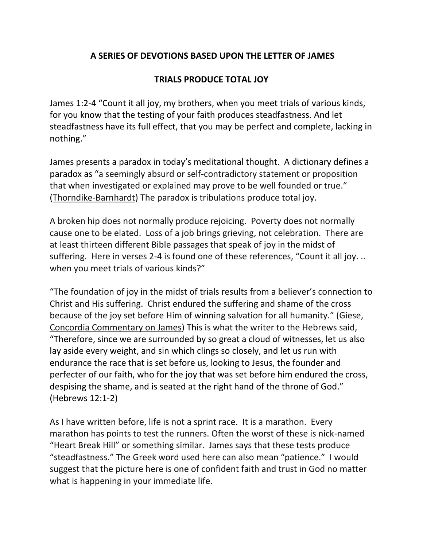## **A SERIES OF DEVOTIONS BASED UPON THE LETTER OF JAMES**

## **TRIALS PRODUCE TOTAL JOY**

James 1:2-4 "Count it all joy, my brothers, when you meet trials of various kinds, for you know that the testing of your faith produces steadfastness. And let steadfastness have its full effect, that you may be perfect and complete, lacking in nothing."

James presents a paradox in today's meditational thought. A dictionary defines a paradox as "a seemingly absurd or self-contradictory statement or proposition that when investigated or explained may prove to be well founded or true." (Thorndike-Barnhardt) The paradox is tribulations produce total joy.

A broken hip does not normally produce rejoicing. Poverty does not normally cause one to be elated. Loss of a job brings grieving, not celebration. There are at least thirteen different Bible passages that speak of joy in the midst of suffering. Here in verses 2-4 is found one of these references, "Count it all joy. .. when you meet trials of various kinds?"

"The foundation of joy in the midst of trials results from a believer's connection to Christ and His suffering. Christ endured the suffering and shame of the cross because of the joy set before Him of winning salvation for all humanity." (Giese, Concordia Commentary on James) This is what the writer to the Hebrews said, "Therefore, since we are surrounded by so great a cloud of witnesses, let us also lay aside every weight, and sin which clings so closely, and let us run with endurance the race that is set before us, looking to Jesus, the founder and perfecter of our faith, who for the joy that was set before him endured the cross, despising the shame, and is seated at the right hand of the throne of God." (Hebrews 12:1-2)

As I have written before, life is not a sprint race. It is a marathon. Every marathon has points to test the runners. Often the worst of these is nick-named "Heart Break Hill" or something similar. James says that these tests produce "steadfastness." The Greek word used here can also mean "patience." I would suggest that the picture here is one of confident faith and trust in God no matter what is happening in your immediate life.